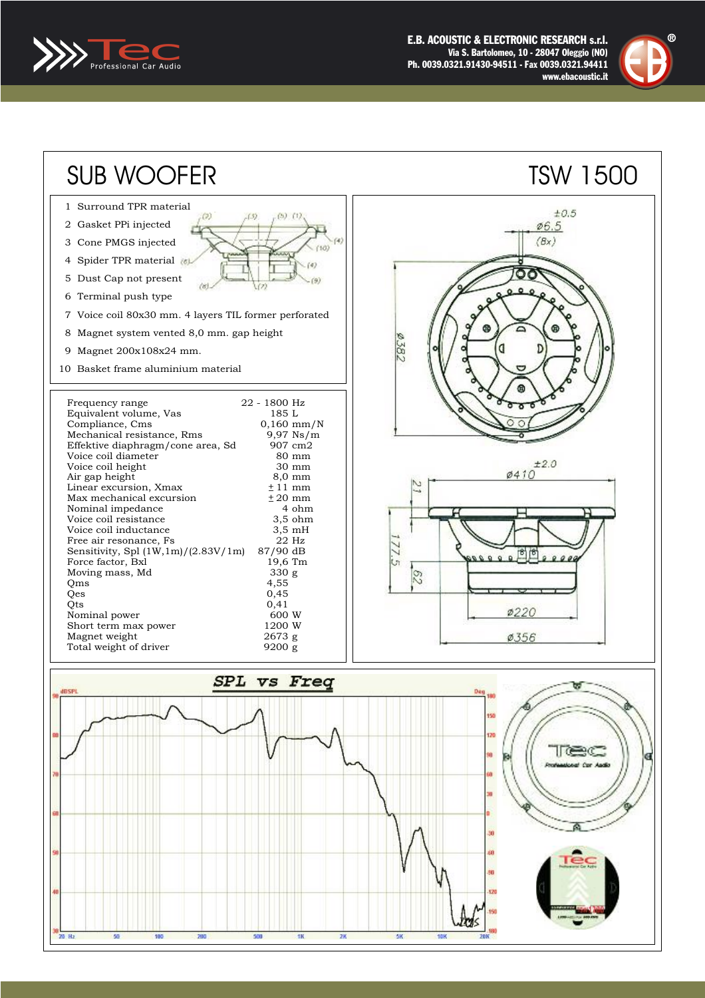